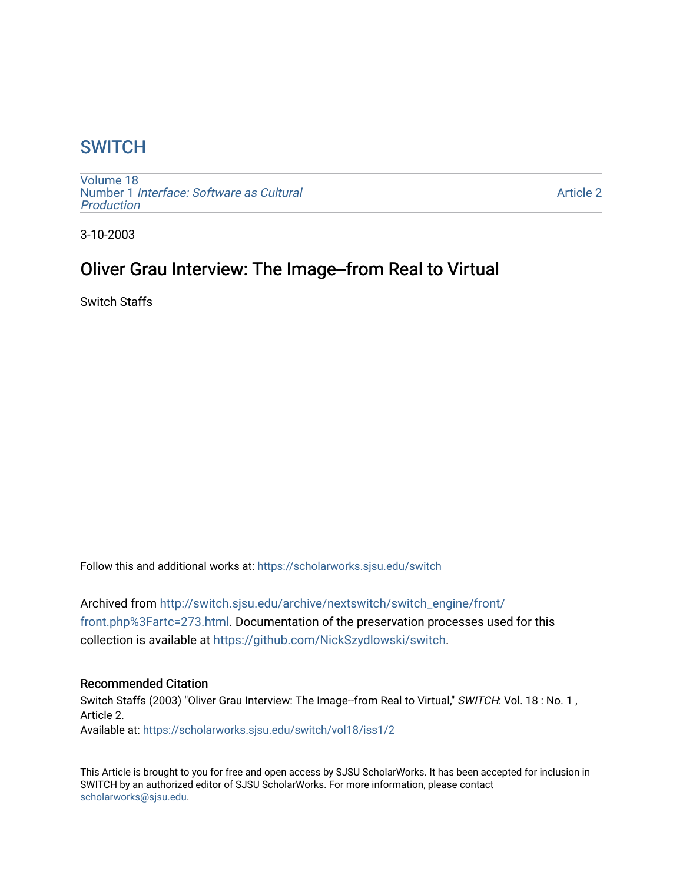# **SWITCH**

[Volume 18](https://scholarworks.sjsu.edu/switch/vol18) Number 1 [Interface: Software as Cultural](https://scholarworks.sjsu.edu/switch/vol18/iss1)  [Production](https://scholarworks.sjsu.edu/switch/vol18/iss1)

[Article 2](https://scholarworks.sjsu.edu/switch/vol18/iss1/2) 

3-10-2003

# Oliver Grau Interview: The Image--from Real to Virtual

Switch Staffs

Follow this and additional works at: [https://scholarworks.sjsu.edu/switch](https://scholarworks.sjsu.edu/switch?utm_source=scholarworks.sjsu.edu%2Fswitch%2Fvol18%2Fiss1%2F2&utm_medium=PDF&utm_campaign=PDFCoverPages)

Archived from [http://switch.sjsu.edu/archive/nextswitch/switch\\_engine/front/](http://switch.sjsu.edu/archive/nextswitch/switch_engine/front/front.php%3Fartc=273.html) [front.php%3Fartc=273.html.](http://switch.sjsu.edu/archive/nextswitch/switch_engine/front/front.php%3Fartc=273.html) Documentation of the preservation processes used for this collection is available at [https://github.com/NickSzydlowski/switch.](https://github.com/NickSzydlowski/switch)

#### Recommended Citation

Switch Staffs (2003) "Oliver Grau Interview: The Image--from Real to Virtual," SWITCH: Vol. 18 : No. 1, Article 2. Available at: [https://scholarworks.sjsu.edu/switch/vol18/iss1/2](https://scholarworks.sjsu.edu/switch/vol18/iss1/2?utm_source=scholarworks.sjsu.edu%2Fswitch%2Fvol18%2Fiss1%2F2&utm_medium=PDF&utm_campaign=PDFCoverPages) 

This Article is brought to you for free and open access by SJSU ScholarWorks. It has been accepted for inclusion in SWITCH by an authorized editor of SJSU ScholarWorks. For more information, please contact [scholarworks@sjsu.edu](mailto:scholarworks@sjsu.edu).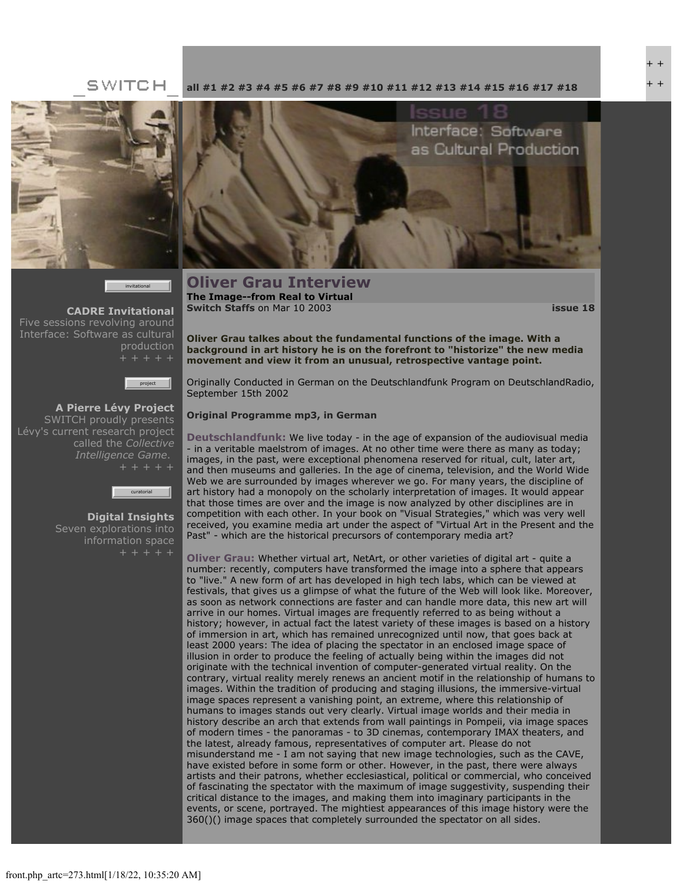### SWITCH





**[CADRE Invitational](file:///Users/nszydlowski/Desktop/websites%20copy/Switch%20Journal/switch.sjsu.edu/archive/nextswitch/switch_engine/front/front.php_cat%3d45.html)** Five sessions revolving around Interface: Software as cultural production



**[A Pierre Lévy Project](file:///Users/nszydlowski/Desktop/websites%20copy/Switch%20Journal/switch.sjsu.edu/archive/nextswitch/switch_engine/front/front.php_cat%3d48.html)** SWITCH proudly presents Lévy's current research project called the *Collective Intelligence Game*.



**[Digital Insights](file:///Users/nszydlowski/Desktop/websites%20copy/Switch%20Journal/switch.sjsu.edu/archive/nextswitch/switch_engine/front/front.php_cat%3d46.html)** Seven explorations into information space

**[all](file:///Users/nszydlowski/Desktop/websites%20copy/Switch%20Journal/switch.sjsu.edu/archive/nextswitch/switch_engine/front/front.php.html) [#1](file:///Users/nszydlowski/Desktop/websites%20copy/Switch%20Journal/switch.sjsu.edu/archive/nextswitch/switch_engine/front/front.php_cat%3d5.html) [#2](file:///Users/nszydlowski/Desktop/websites%20copy/Switch%20Journal/switch.sjsu.edu/archive/nextswitch/switch_engine/front/front.php_cat%3d6.html) [#3](file:///Users/nszydlowski/Desktop/websites%20copy/Switch%20Journal/switch.sjsu.edu/archive/nextswitch/switch_engine/front/front.php_cat%3d7.html) [#4](file:///Users/nszydlowski/Desktop/websites%20copy/Switch%20Journal/switch.sjsu.edu/archive/nextswitch/switch_engine/front/front.php_cat%3d8.html) [#5](file:///Users/nszydlowski/Desktop/websites%20copy/Switch%20Journal/switch.sjsu.edu/archive/nextswitch/switch_engine/front/front.php_cat%3d9.html) [#6](file:///Users/nszydlowski/Desktop/websites%20copy/Switch%20Journal/switch.sjsu.edu/archive/nextswitch/switch_engine/front/front.php_cat%3d10.html) [#7](file:///Users/nszydlowski/Desktop/websites%20copy/Switch%20Journal/switch.sjsu.edu/archive/nextswitch/switch_engine/front/front.php_cat%3d11.html) [#8](file:///Users/nszydlowski/Desktop/websites%20copy/Switch%20Journal/switch.sjsu.edu/archive/nextswitch/switch_engine/front/front.php_cat%3d12.html) [#9](file:///Users/nszydlowski/Desktop/websites%20copy/Switch%20Journal/switch.sjsu.edu/archive/nextswitch/switch_engine/front/front.php_cat%3d13.html) [#10](file:///Users/nszydlowski/Desktop/websites%20copy/Switch%20Journal/switch.sjsu.edu/archive/nextswitch/switch_engine/front/front.php_cat%3d14.html) [#11](file:///Users/nszydlowski/Desktop/websites%20copy/Switch%20Journal/switch.sjsu.edu/archive/nextswitch/switch_engine/front/front.php_cat%3d15.html) [#12](file:///Users/nszydlowski/Desktop/websites%20copy/Switch%20Journal/switch.sjsu.edu/archive/nextswitch/switch_engine/front/front.php_cat%3d16.html) [#13](file:///Users/nszydlowski/Desktop/websites%20copy/Switch%20Journal/switch.sjsu.edu/archive/nextswitch/switch_engine/front/front.php_cat%3d17.html) [#14](file:///Users/nszydlowski/Desktop/websites%20copy/Switch%20Journal/switch.sjsu.edu/archive/nextswitch/switch_engine/front/front.php_cat%3d18.html) [#15](file:///Users/nszydlowski/Desktop/websites%20copy/Switch%20Journal/switch.sjsu.edu/archive/nextswitch/switch_engine/front/front.php_cat%3d19.html) [#16](file:///Users/nszydlowski/Desktop/websites%20copy/Switch%20Journal/switch.sjsu.edu/archive/nextswitch/switch_engine/front/front.php_cat%3d20.html) [#17](file:///Users/nszydlowski/Desktop/websites%20copy/Switch%20Journal/switch.sjsu.edu/archive/nextswitch/switch_engine/front/front.php_cat%3d21.html) [#18](file:///Users/nszydlowski/Desktop/websites%20copy/Switch%20Journal/switch.sjsu.edu/archive/nextswitch/switch_engine/front/front.php_cat%3d44.html)**



**Oliver Grau Interview The Image--from Real to Virtual [Switch Staffs](file:///Users/nszydlowski/Desktop/websites%20copy/Switch%20Journal/switch.sjsu.edu/archive/nextswitch/switch_engine/front/users.php_w%3d12.html)** on Mar 10 2003 **[issue 18](file:///Users/nszydlowski/Desktop/websites%20copy/Switch%20Journal/switch.sjsu.edu/archive/nextswitch/switch_engine/front/front.php_cat%3d44.html)**

**Oliver Grau talkes about the fundamental functions of the image. With a background in art history he is on the forefront to "historize" the new media movement and view it from an unusual, retrospective vantage point.** 

Originally Conducted in German on the Deutschlandfunk Program on DeutschlandRadio, September 15th 2002

**[Original Programme mp3, in German](file:///Users/nszydlowski/Desktop/websites%20copy/Switch%20Journal/ondemand-mp3.dradio.de/file/dradio/kultursonntag/020915.html)**

**Deutschlandfunk:** We live today - in the age of expansion of the audiovisual media - in a veritable maelstrom of images. At no other time were there as many as today; images, in the past, were exceptional phenomena reserved for ritual, cult, later art, and then museums and galleries. In the age of cinema, television, and the World Wide Web we are surrounded by images wherever we go. For many years, the discipline of art history had a monopoly on the scholarly interpretation of images. It would appear that those times are over and the image is now analyzed by other disciplines are in competition with each other. In your book on "Visual Strategies," which was very well received, you examine media art under the aspect of "Virtual Art in the Present and the Past" - which are the historical precursors of contemporary media art?

**Oliver Grau:** Whether virtual art, NetArt, or other varieties of digital art - quite a number: recently, computers have transformed the image into a sphere that appears to "live." A new form of art has developed in high tech labs, which can be viewed at festivals, that gives us a glimpse of what the future of the Web will look like. Moreover, as soon as network connections are faster and can handle more data, this new art will arrive in our homes. Virtual images are frequently referred to as being without a history; however, in actual fact the latest variety of these images is based on a history of immersion in art, which has remained unrecognized until now, that goes back at least 2000 years: The idea of placing the spectator in an enclosed image space of illusion in order to produce the feeling of actually being within the images did not originate with the technical invention of computer-generated virtual reality. On the contrary, virtual reality merely renews an ancient motif in the relationship of humans to images. Within the tradition of producing and staging illusions, the immersive-virtual image spaces represent a vanishing point, an extreme, where this relationship of humans to images stands out very clearly. Virtual image worlds and their media in history describe an arch that extends from wall paintings in Pompeii, via image spaces of modern times - the panoramas - to 3D cinemas, contemporary IMAX theaters, and the latest, already famous, representatives of computer art. Please do not misunderstand me - I am not saying that new image technologies, such as the CAVE, have existed before in some form or other. However, in the past, there were always artists and their patrons, whether ecclesiastical, political or commercial, who conceived of fascinating the spectator with the maximum of image suggestivity, suspending their critical distance to the images, and making them into imaginary participants in the events, or scene, portrayed. The mightiest appearances of this image history were the 360()() image spaces that completely surrounded the spectator on all sides.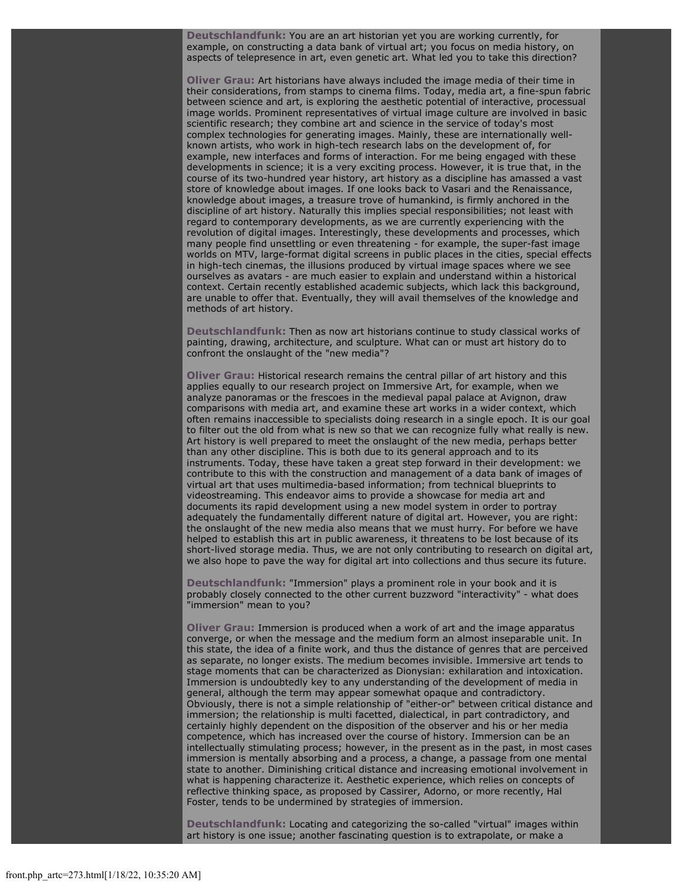**Deutschlandfunk:** You are an art historian yet you are working currently, for example, on constructing a data bank of virtual art; you focus on media history, on aspects of telepresence in art, even genetic art. What led you to take this direction?

**Oliver Grau:** Art historians have always included the image media of their time in their considerations, from stamps to cinema films. Today, media art, a fine-spun fabric between science and art, is exploring the aesthetic potential of interactive, processual image worlds. Prominent representatives of virtual image culture are involved in basic scientific research; they combine art and science in the service of today's most complex technologies for generating images. Mainly, these are internationally wellknown artists, who work in high-tech research labs on the development of, for example, new interfaces and forms of interaction. For me being engaged with these developments in science; it is a very exciting process. However, it is true that, in the course of its two-hundred year history, art history as a discipline has amassed a vast store of knowledge about images. If one looks back to Vasari and the Renaissance, knowledge about images, a treasure trove of humankind, is firmly anchored in the discipline of art history. Naturally this implies special responsibilities; not least with regard to contemporary developments, as we are currently experiencing with the revolution of digital images. Interestingly, these developments and processes, which many people find unsettling or even threatening - for example, the super-fast image worlds on MTV, large-format digital screens in public places in the cities, special effects in high-tech cinemas, the illusions produced by virtual image spaces where we see ourselves as avatars - are much easier to explain and understand within a historical context. Certain recently established academic subjects, which lack this background, are unable to offer that. Eventually, they will avail themselves of the knowledge and methods of art history.

**Deutschlandfunk:** Then as now art historians continue to study classical works of painting, drawing, architecture, and sculpture. What can or must art history do to confront the onslaught of the "new media"?

**Oliver Grau:** Historical research remains the central pillar of art history and this applies equally to our research project on Immersive Art, for example, when we analyze panoramas or the frescoes in the medieval papal palace at Avignon, draw comparisons with media art, and examine these art works in a wider context, which often remains inaccessible to specialists doing research in a single epoch. It is our goal to filter out the old from what is new so that we can recognize fully what really is new. Art history is well prepared to meet the onslaught of the new media, perhaps better than any other discipline. This is both due to its general approach and to its instruments. Today, these have taken a great step forward in their development: we contribute to this with the construction and management of a data bank of images of virtual art that uses multimedia-based information; from technical blueprints to videostreaming. This endeavor aims to provide a showcase for media art and documents its rapid development using a new model system in order to portray adequately the fundamentally different nature of digital art. However, you are right: the onslaught of the new media also means that we must hurry. For before we have helped to establish this art in public awareness, it threatens to be lost because of its short-lived storage media. Thus, we are not only contributing to research on digital art, we also hope to pave the way for digital art into collections and thus secure its future.

**Deutschlandfunk:** "Immersion" plays a prominent role in your book and it is probably closely connected to the other current buzzword "interactivity" - what does "immersion" mean to you?

**Oliver Grau:** Immersion is produced when a work of art and the image apparatus converge, or when the message and the medium form an almost inseparable unit. In this state, the idea of a finite work, and thus the distance of genres that are perceived as separate, no longer exists. The medium becomes invisible. Immersive art tends to stage moments that can be characterized as Dionysian: exhilaration and intoxication. Immersion is undoubtedly key to any understanding of the development of media in general, although the term may appear somewhat opaque and contradictory. Obviously, there is not a simple relationship of "either-or" between critical distance and immersion; the relationship is multi facetted, dialectical, in part contradictory, and certainly highly dependent on the disposition of the observer and his or her media competence, which has increased over the course of history. Immersion can be an intellectually stimulating process; however, in the present as in the past, in most cases immersion is mentally absorbing and a process, a change, a passage from one mental state to another. Diminishing critical distance and increasing emotional involvement in what is happening characterize it. Aesthetic experience, which relies on concepts of reflective thinking space, as proposed by Cassirer, Adorno, or more recently, Hal Foster, tends to be undermined by strategies of immersion.

**Deutschlandfunk:** Locating and categorizing the so-called "virtual" images within art history is one issue; another fascinating question is to extrapolate, or make a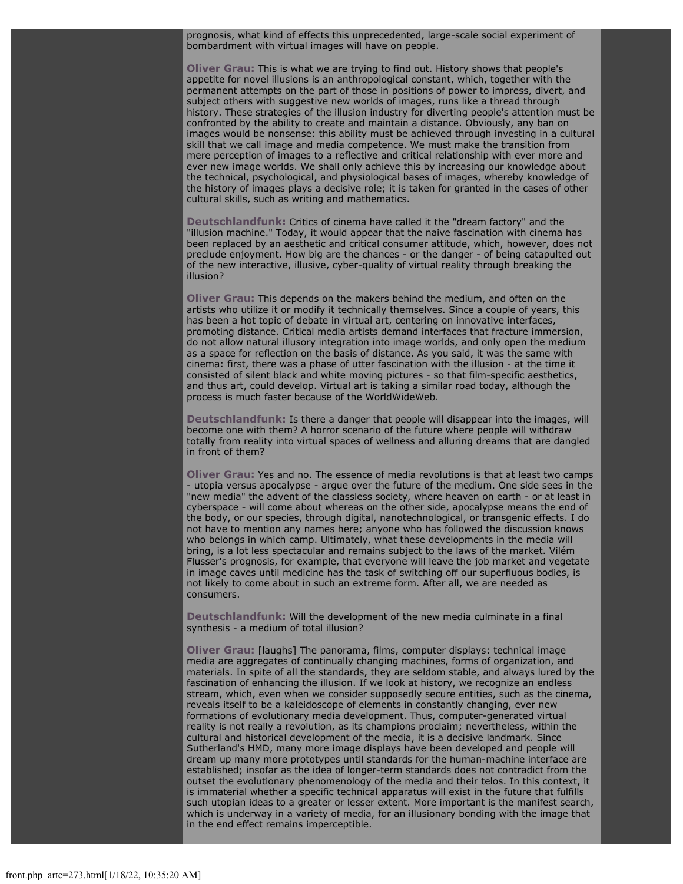prognosis, what kind of effects this unprecedented, large-scale social experiment of bombardment with virtual images will have on people.

**Oliver Grau:** This is what we are trying to find out. History shows that people's appetite for novel illusions is an anthropological constant, which, together with the permanent attempts on the part of those in positions of power to impress, divert, and subject others with suggestive new worlds of images, runs like a thread through history. These strategies of the illusion industry for diverting people's attention must be confronted by the ability to create and maintain a distance. Obviously, any ban on images would be nonsense: this ability must be achieved through investing in a cultural skill that we call image and media competence. We must make the transition from mere perception of images to a reflective and critical relationship with ever more and ever new image worlds. We shall only achieve this by increasing our knowledge about the technical, psychological, and physiological bases of images, whereby knowledge of the history of images plays a decisive role; it is taken for granted in the cases of other cultural skills, such as writing and mathematics.

**Deutschlandfunk:** Critics of cinema have called it the "dream factory" and the "illusion machine." Today, it would appear that the naive fascination with cinema has been replaced by an aesthetic and critical consumer attitude, which, however, does not preclude enjoyment. How big are the chances - or the danger - of being catapulted out of the new interactive, illusive, cyber-quality of virtual reality through breaking the illusion?

**Oliver Grau:** This depends on the makers behind the medium, and often on the artists who utilize it or modify it technically themselves. Since a couple of years, this has been a hot topic of debate in virtual art, centering on innovative interfaces, promoting distance. Critical media artists demand interfaces that fracture immersion, do not allow natural illusory integration into image worlds, and only open the medium as a space for reflection on the basis of distance. As you said, it was the same with cinema: first, there was a phase of utter fascination with the illusion - at the time it consisted of silent black and white moving pictures - so that film-specific aesthetics, and thus art, could develop. Virtual art is taking a similar road today, although the process is much faster because of the WorldWideWeb.

**Deutschlandfunk:** Is there a danger that people will disappear into the images, will become one with them? A horror scenario of the future where people will withdraw totally from reality into virtual spaces of wellness and alluring dreams that are dangled in front of them?

**Oliver Grau:** Yes and no. The essence of media revolutions is that at least two camps - utopia versus apocalypse - argue over the future of the medium. One side sees in the "new media" the advent of the classless society, where heaven on earth - or at least in cyberspace - will come about whereas on the other side, apocalypse means the end of the body, or our species, through digital, nanotechnological, or transgenic effects. I do not have to mention any names here; anyone who has followed the discussion knows who belongs in which camp. Ultimately, what these developments in the media will bring, is a lot less spectacular and remains subject to the laws of the market. Vilém Flusser's prognosis, for example, that everyone will leave the job market and vegetate in image caves until medicine has the task of switching off our superfluous bodies, is not likely to come about in such an extreme form. After all, we are needed as consumers.

**Deutschlandfunk:** Will the development of the new media culminate in a final synthesis - a medium of total illusion?

**Oliver Grau:** [laughs] The panorama, films, computer displays: technical image media are aggregates of continually changing machines, forms of organization, and materials. In spite of all the standards, they are seldom stable, and always lured by the fascination of enhancing the illusion. If we look at history, we recognize an endless stream, which, even when we consider supposedly secure entities, such as the cinema, reveals itself to be a kaleidoscope of elements in constantly changing, ever new formations of evolutionary media development. Thus, computer-generated virtual reality is not really a revolution, as its champions proclaim; nevertheless, within the cultural and historical development of the media, it is a decisive landmark. Since Sutherland's HMD, many more image displays have been developed and people will dream up many more prototypes until standards for the human-machine interface are established; insofar as the idea of longer-term standards does not contradict from the outset the evolutionary phenomenology of the media and their telos. In this context, it is immaterial whether a specific technical apparatus will exist in the future that fulfills such utopian ideas to a greater or lesser extent. More important is the manifest search, which is underway in a variety of media, for an illusionary bonding with the image that in the end effect remains imperceptible.